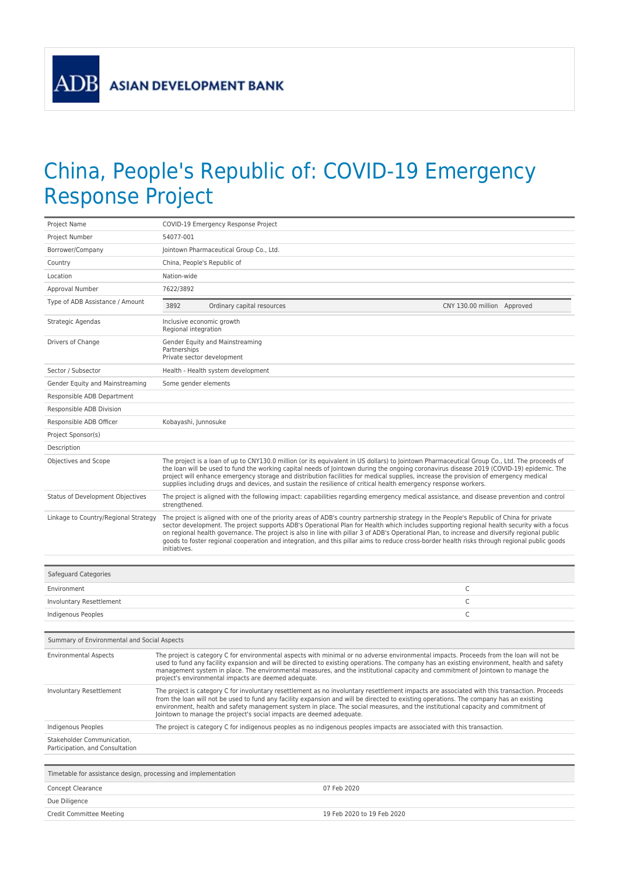**ADB** 

## China, People's Republic of: COVID-19 Emergency Response Project

| Project Name                                                   | COVID-19 Emergency Response Project                                                                                                                                                                                                                                                                                                                                                                                                                                                                                                                                                                      |  |
|----------------------------------------------------------------|----------------------------------------------------------------------------------------------------------------------------------------------------------------------------------------------------------------------------------------------------------------------------------------------------------------------------------------------------------------------------------------------------------------------------------------------------------------------------------------------------------------------------------------------------------------------------------------------------------|--|
| Project Number                                                 | 54077-001                                                                                                                                                                                                                                                                                                                                                                                                                                                                                                                                                                                                |  |
| Borrower/Company                                               | Jointown Pharmaceutical Group Co., Ltd.                                                                                                                                                                                                                                                                                                                                                                                                                                                                                                                                                                  |  |
| Country                                                        | China, People's Republic of                                                                                                                                                                                                                                                                                                                                                                                                                                                                                                                                                                              |  |
| Location                                                       | Nation-wide                                                                                                                                                                                                                                                                                                                                                                                                                                                                                                                                                                                              |  |
| Approval Number                                                | 7622/3892                                                                                                                                                                                                                                                                                                                                                                                                                                                                                                                                                                                                |  |
| Type of ADB Assistance / Amount                                | 3892<br>Ordinary capital resources<br>CNY 130.00 million Approved                                                                                                                                                                                                                                                                                                                                                                                                                                                                                                                                        |  |
| Strategic Agendas                                              | Inclusive economic growth<br>Regional integration                                                                                                                                                                                                                                                                                                                                                                                                                                                                                                                                                        |  |
| Drivers of Change                                              | Gender Equity and Mainstreaming<br>Partnerships<br>Private sector development                                                                                                                                                                                                                                                                                                                                                                                                                                                                                                                            |  |
| Sector / Subsector                                             | Health - Health system development                                                                                                                                                                                                                                                                                                                                                                                                                                                                                                                                                                       |  |
| Gender Equity and Mainstreaming                                | Some gender elements                                                                                                                                                                                                                                                                                                                                                                                                                                                                                                                                                                                     |  |
| Responsible ADB Department                                     |                                                                                                                                                                                                                                                                                                                                                                                                                                                                                                                                                                                                          |  |
| Responsible ADB Division                                       |                                                                                                                                                                                                                                                                                                                                                                                                                                                                                                                                                                                                          |  |
| Responsible ADB Officer                                        | Kobayashi, Junnosuke                                                                                                                                                                                                                                                                                                                                                                                                                                                                                                                                                                                     |  |
| Project Sponsor(s)                                             |                                                                                                                                                                                                                                                                                                                                                                                                                                                                                                                                                                                                          |  |
| Description                                                    |                                                                                                                                                                                                                                                                                                                                                                                                                                                                                                                                                                                                          |  |
| Objectives and Scope                                           | The project is a loan of up to CNY130.0 million (or its equivalent in US dollars) to Jointown Pharmaceutical Group Co., Ltd. The proceeds of<br>the loan will be used to fund the working capital needs of Jointown during the ongoing coronavirus disease 2019 (COVID-19) epidemic. The<br>project will enhance emergency storage and distribution facilities for medical supplies, increase the provision of emergency medical<br>supplies including drugs and devices, and sustain the resilience of critical health emergency response workers.                                                      |  |
| Status of Development Objectives                               | The project is aligned with the following impact: capabilities regarding emergency medical assistance, and disease prevention and control<br>strengthened.                                                                                                                                                                                                                                                                                                                                                                                                                                               |  |
| Linkage to Country/Regional Strategy                           | The project is aligned with one of the priority areas of ADB's country partnership strategy in the People's Republic of China for private<br>sector development. The project supports ADB's Operational Plan for Health which includes supporting regional health security with a focus<br>on regional health governance. The project is also in line with pillar 3 of ADB's Operational Plan, to increase and diversify regional public<br>goods to foster regional cooperation and integration, and this pillar aims to reduce cross-border health risks through regional public goods<br>initiatives. |  |
| Safeguard Categories                                           |                                                                                                                                                                                                                                                                                                                                                                                                                                                                                                                                                                                                          |  |
| Environment                                                    | C                                                                                                                                                                                                                                                                                                                                                                                                                                                                                                                                                                                                        |  |
| Involuntary Resettlement                                       | C                                                                                                                                                                                                                                                                                                                                                                                                                                                                                                                                                                                                        |  |
| Indigenous Peoples                                             | $\mathsf{C}$                                                                                                                                                                                                                                                                                                                                                                                                                                                                                                                                                                                             |  |
|                                                                |                                                                                                                                                                                                                                                                                                                                                                                                                                                                                                                                                                                                          |  |
| Summary of Environmental and Social Aspects                    |                                                                                                                                                                                                                                                                                                                                                                                                                                                                                                                                                                                                          |  |
| <b>Environmental Aspects</b>                                   | The project is category C for environmental aspects with minimal or no adverse environmental impacts. Proceeds from the loan will not be<br>used to fund any facility expansion and will be directed to existing operations. The company has an existing environment, health and safety<br>management system in place. The environmental measures, and the institutional capacity and commitment of Jointown to manage the<br>project's environmental impacts are deemed adequate.                                                                                                                       |  |
| Involuntary Resettlement                                       | The project is category C for involuntary resettlement as no involuntary resettlement impacts are associated with this transaction. Proceeds<br>from the loan will not be used to fund any facility expansion and will be directed to existing operations. The company has an existing<br>environment, health and safety management system in place. The social measures, and the institutional capacity and commitment of<br>Jointown to manage the project's social impacts are deemed adequate.                                                                                                       |  |
| Indigenous Peoples                                             | The project is category C for indigenous peoples as no indigenous peoples impacts are associated with this transaction.                                                                                                                                                                                                                                                                                                                                                                                                                                                                                  |  |
| Stakeholder Communication,<br>Participation, and Consultation  |                                                                                                                                                                                                                                                                                                                                                                                                                                                                                                                                                                                                          |  |
| Timetable for assistance design, processing and implementation |                                                                                                                                                                                                                                                                                                                                                                                                                                                                                                                                                                                                          |  |
| Concept Clearance                                              | 07 Feb 2020                                                                                                                                                                                                                                                                                                                                                                                                                                                                                                                                                                                              |  |
| Due Diligence                                                  |                                                                                                                                                                                                                                                                                                                                                                                                                                                                                                                                                                                                          |  |
| Credit Committee Meeting                                       | 19 Feb 2020 to 19 Feb 2020                                                                                                                                                                                                                                                                                                                                                                                                                                                                                                                                                                               |  |